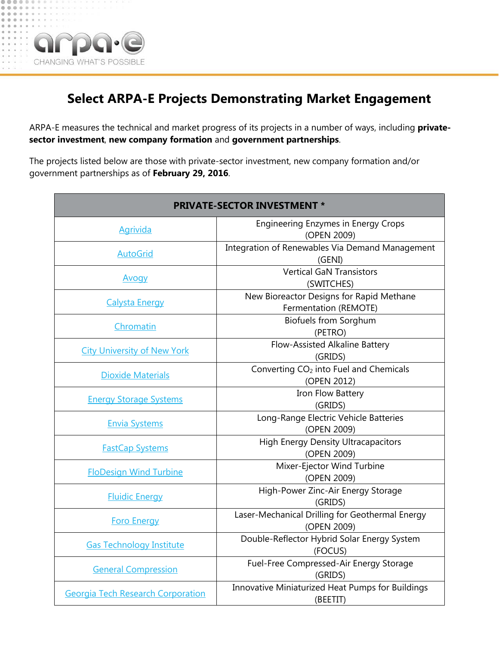

## **Select ARPA-E Projects Demonstrating Market Engagement**

ARPA-E measures the technical and market progress of its projects in a number of ways, including **privatesector investment**, **new company formation** and **government partnerships**.

The projects listed below are those with private-sector investment, new company formation and/or government partnerships as of **February 29, 2016**.

| <b>PRIVATE-SECTOR INVESTMENT *</b>       |                                                                   |
|------------------------------------------|-------------------------------------------------------------------|
| <b>Agrivida</b>                          | <b>Engineering Enzymes in Energy Crops</b><br>(OPEN 2009)         |
| <b>AutoGrid</b>                          | Integration of Renewables Via Demand Management<br>(GENI)         |
| <u>Avogy</u>                             | <b>Vertical GaN Transistors</b><br>(SWITCHES)                     |
| <b>Calysta Energy</b>                    | New Bioreactor Designs for Rapid Methane<br>Fermentation (REMOTE) |
| Chromatin                                | <b>Biofuels from Sorghum</b><br>(PETRO)                           |
| <b>City University of New York</b>       | Flow-Assisted Alkaline Battery<br>(GRIDS)                         |
| <b>Dioxide Materials</b>                 | Converting CO <sub>2</sub> into Fuel and Chemicals<br>(OPEN 2012) |
| <b>Energy Storage Systems</b>            | Iron Flow Battery<br>(GRIDS)                                      |
| <b>Envia Systems</b>                     | Long-Range Electric Vehicle Batteries<br>(OPEN 2009)              |
| <b>FastCap Systems</b>                   | <b>High Energy Density Ultracapacitors</b><br>(OPEN 2009)         |
| <b>FloDesign Wind Turbine</b>            | Mixer-Ejector Wind Turbine<br>(OPEN 2009)                         |
| <b>Fluidic Energy</b>                    | High-Power Zinc-Air Energy Storage<br>(GRIDS)                     |
| <b>Foro Energy</b>                       | Laser-Mechanical Drilling for Geothermal Energy<br>(OPEN 2009)    |
| <b>Gas Technology Institute</b>          | Double-Reflector Hybrid Solar Energy System<br>(FOCUS)            |
| <b>General Compression</b>               | Fuel-Free Compressed-Air Energy Storage<br>(GRIDS)                |
| <b>Georgia Tech Research Corporation</b> | Innovative Miniaturized Heat Pumps for Buildings<br>(BEETIT)      |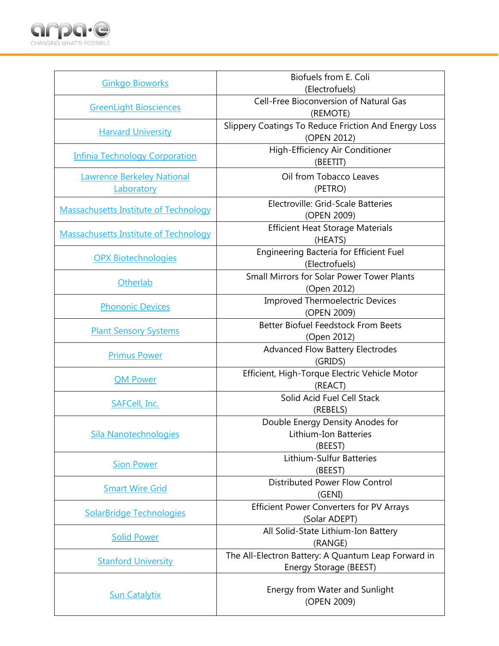

| <b>Ginkgo Bioworks</b>                       | Biofuels from E. Coli<br>(Electrofuels)                                       |
|----------------------------------------------|-------------------------------------------------------------------------------|
| <b>GreenLight Biosciences</b>                | <b>Cell-Free Bioconversion of Natural Gas</b>                                 |
| <b>Harvard University</b>                    | (REMOTE)<br>Slippery Coatings To Reduce Friction And Energy Loss              |
|                                              | (OPEN 2012)<br>High-Efficiency Air Conditioner                                |
| <b>Infinia Technology Corporation</b>        | (BEETIT)                                                                      |
| <b>Lawrence Berkeley National</b>            | Oil from Tobacco Leaves                                                       |
| Laboratory                                   | (PETRO)                                                                       |
| <b>Massachusetts Institute of Technology</b> | Electroville: Grid-Scale Batteries<br>(OPEN 2009)                             |
| <b>Massachusetts Institute of Technology</b> | <b>Efficient Heat Storage Materials</b><br>(HEATS)                            |
| <b>OPX Biotechnologies</b>                   | Engineering Bacteria for Efficient Fuel<br>(Electrofuels)                     |
| Otherlab                                     | Small Mirrors for Solar Power Tower Plants<br>(Open 2012)                     |
| <b>Phononic Devices</b>                      | <b>Improved Thermoelectric Devices</b><br>(OPEN 2009)                         |
| <b>Plant Sensory Systems</b>                 | <b>Better Biofuel Feedstock From Beets</b><br>(Open 2012)                     |
| <b>Primus Power</b>                          | <b>Advanced Flow Battery Electrodes</b><br>(GRIDS)                            |
| <b>QM Power</b>                              | Efficient, High-Torque Electric Vehicle Motor<br>(REACT)                      |
| SAFCell, Inc.                                | Solid Acid Fuel Cell Stack<br>(REBELS)                                        |
| <b>Sila Nanotechnologies</b>                 | Double Energy Density Anodes for<br>Lithium-Ion Batteries<br>(BEEST)          |
| <b>Sion Power</b>                            | Lithium-Sulfur Batteries<br>(BEEST)                                           |
| <b>Smart Wire Grid</b>                       | <b>Distributed Power Flow Control</b><br>(GENI)                               |
| <b>SolarBridge Technologies</b>              | <b>Efficient Power Converters for PV Arrays</b><br>(Solar ADEPT)              |
| <b>Solid Power</b>                           | All Solid-State Lithium-Ion Battery<br>(RANGE)                                |
| <b>Stanford University</b>                   | The All-Electron Battery: A Quantum Leap Forward in<br>Energy Storage (BEEST) |
| <b>Sun Catalytix</b>                         | Energy from Water and Sunlight<br>(OPEN 2009)                                 |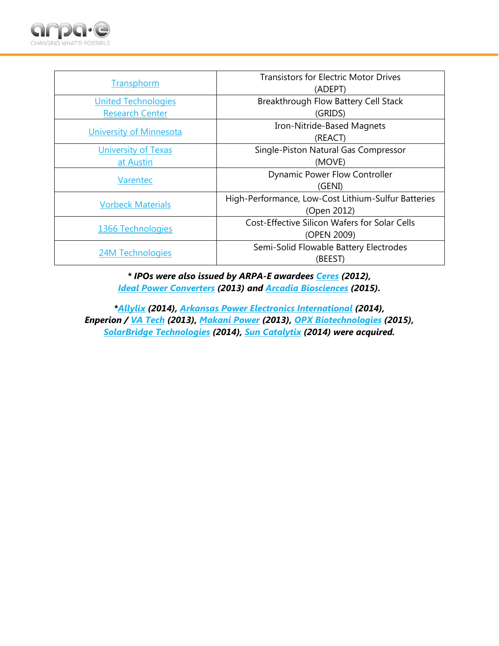

| Transphorm                 | <b>Transistors for Electric Motor Drives</b>         |
|----------------------------|------------------------------------------------------|
|                            | (ADEPT)                                              |
| <b>United Technologies</b> | Breakthrough Flow Battery Cell Stack                 |
| <b>Research Center</b>     | (GRIDS)                                              |
| University of Minnesota    | Iron-Nitride-Based Magnets                           |
|                            | (REACT)                                              |
| <b>University of Texas</b> | Single-Piston Natural Gas Compressor                 |
| at Austin                  | (MOVE)                                               |
| Varentec                   | <b>Dynamic Power Flow Controller</b>                 |
|                            | (GENI)                                               |
| <b>Vorbeck Materials</b>   | High-Performance, Low-Cost Lithium-Sulfur Batteries  |
|                            | (Open 2012)                                          |
| 1366 Technologies          | <b>Cost-Effective Silicon Wafers for Solar Cells</b> |
|                            | (OPEN 2009)                                          |
| 24M Technologies           | Semi-Solid Flowable Battery Electrodes               |
|                            | (BEEST)                                              |

*\* IPOs were also issued by ARPA-E awardees [Ceres](http://arpa-e.energy.gov/?q=slick-sheet-project/improving-biomass-yields) (2012), [Ideal Power Converters](http://arpa-e.energy.gov/?q=slick-sheet-project/lightweight-pv-inverters) (2013) and [Arcadia Biosciences](http://arpa-e.energy.gov/?q=slick-sheet-project/vegetable-oil-leaves-and-stems) (2015).*

*[\\*Allylix](http://arpa-e.energy.gov/?q=slick-sheet-project/high-performance-aviation-fuels-terpenes) (2014), [Arkansas Power Electronics International](http://arpa-e.energy.gov/?q=slick-sheet-project/powerful-efficient-electric-vehicle-chargers) (2014), Enperion / [VA Tech](http://www.arpa-e.energy.gov/?q=slick-sheet-project/voltage-regulator-chip) (2013), [Makani Power](http://arpa-e.energy.gov/?q=slick-sheet-project/airborne-wind-turbine) (2013), [OPX Biotechnologies](http://arpa-e.energy.gov/?q=slick-sheet-project/engineering-bacteria-efficient-fuel-production) (2015), [SolarBridge Technologies](http://arpa-e.energy.gov/?q=slick-sheet-project/efficient-power-converters-pv-arrays) (2014), [Sun Catalytix](http://arpa-e.energy.gov/?q=slick-sheet-project/energy-water-and-sunlight) (2014) were acquired.*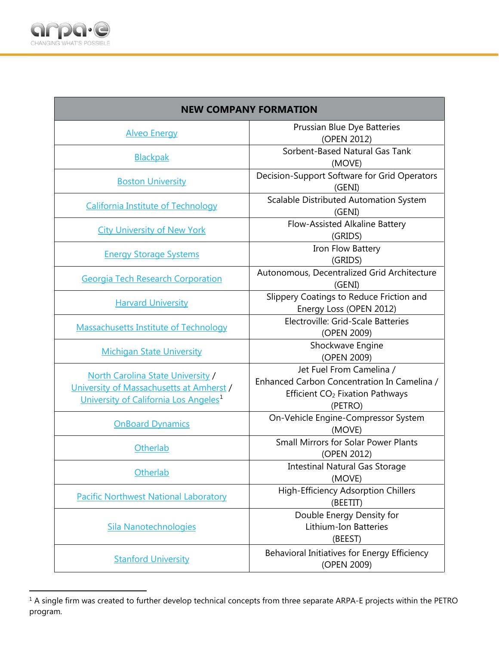

П

 $\overline{a}$ 

| <b>NEW COMPANY FORMATION</b>                                                                                                              |                                                                                                                                   |
|-------------------------------------------------------------------------------------------------------------------------------------------|-----------------------------------------------------------------------------------------------------------------------------------|
| <b>Alveo Energy</b>                                                                                                                       | Prussian Blue Dye Batteries<br>(OPEN 2012)                                                                                        |
| <b>Blackpak</b>                                                                                                                           | Sorbent-Based Natural Gas Tank<br>(MOVE)                                                                                          |
| <b>Boston University</b>                                                                                                                  | Decision-Support Software for Grid Operators<br>(GENI)                                                                            |
| <b>California Institute of Technology</b>                                                                                                 | Scalable Distributed Automation System<br>(GENI)                                                                                  |
| <b>City University of New York</b>                                                                                                        | Flow-Assisted Alkaline Battery<br>(GRIDS)                                                                                         |
| <b>Energy Storage Systems</b>                                                                                                             | Iron Flow Battery<br>(GRIDS)                                                                                                      |
| <b>Georgia Tech Research Corporation</b>                                                                                                  | Autonomous, Decentralized Grid Architecture<br>(GENI)                                                                             |
| <b>Harvard University</b>                                                                                                                 | Slippery Coatings to Reduce Friction and<br>Energy Loss (OPEN 2012)                                                               |
| <b>Massachusetts Institute of Technology</b>                                                                                              | Electroville: Grid-Scale Batteries<br>(OPEN 2009)                                                                                 |
| <b>Michigan State University</b>                                                                                                          | Shockwave Engine<br>(OPEN 2009)                                                                                                   |
| <b>North Carolina State University /</b><br>University of Massachusetts at Amherst /<br>University of California Los Angeles <sup>1</sup> | Jet Fuel From Camelina /<br>Enhanced Carbon Concentration In Camelina /<br>Efficient CO <sub>2</sub> Fixation Pathways<br>(PETRO) |
| <b>OnBoard Dynamics</b>                                                                                                                   | On-Vehicle Engine-Compressor System<br>(MOVE)                                                                                     |
| Otherlab                                                                                                                                  | <b>Small Mirrors for Solar Power Plants</b><br>(OPEN 2012)                                                                        |
| Otherlab                                                                                                                                  | <b>Intestinal Natural Gas Storage</b><br>(MOVE)                                                                                   |
| <b>Pacific Northwest National Laboratory</b>                                                                                              | <b>High-Efficiency Adsorption Chillers</b><br>(BEETIT)                                                                            |
| <b>Sila Nanotechnologies</b>                                                                                                              | Double Energy Density for<br>Lithium-Ion Batteries<br>(BEEST)                                                                     |
| <b>Stanford University</b>                                                                                                                | Behavioral Initiatives for Energy Efficiency<br>(OPEN 2009)                                                                       |

٦

<span id="page-3-0"></span> $1$  A single firm was created to further develop technical concepts from three separate ARPA-E projects within the PETRO program.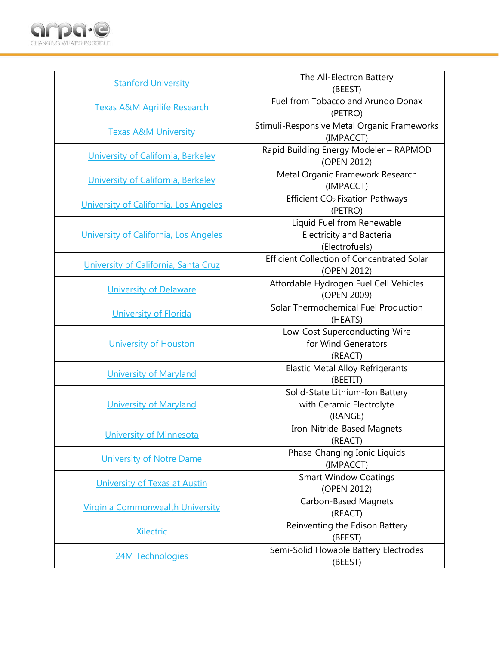

| (BEEST)<br>Fuel from Tobacco and Arundo Donax<br><b>Texas A&amp;M Agrilife Research</b>         |  |
|-------------------------------------------------------------------------------------------------|--|
|                                                                                                 |  |
| (PETRO)                                                                                         |  |
| Stimuli-Responsive Metal Organic Frameworks<br><b>Texas A&amp;M University</b>                  |  |
| (IMPACCT)                                                                                       |  |
| Rapid Building Energy Modeler - RAPMOD<br>University of California, Berkeley                    |  |
| (OPEN 2012)                                                                                     |  |
| Metal Organic Framework Research<br>University of California, Berkeley<br>(IMPACCT)             |  |
|                                                                                                 |  |
| Efficient CO <sub>2</sub> Fixation Pathways<br>University of California, Los Angeles<br>(PETRO) |  |
| Liquid Fuel from Renewable                                                                      |  |
| <b>Electricity and Bacteria</b><br>University of California, Los Angeles                        |  |
| (Electrofuels)                                                                                  |  |
| <b>Efficient Collection of Concentrated Solar</b>                                               |  |
| University of California, Santa Cruz<br>(OPEN 2012)                                             |  |
| Affordable Hydrogen Fuel Cell Vehicles                                                          |  |
| <b>University of Delaware</b><br>(OPEN 2009)                                                    |  |
| Solar Thermochemical Fuel Production                                                            |  |
| <b>University of Florida</b><br>(HEATS)                                                         |  |
| Low-Cost Superconducting Wire                                                                   |  |
| for Wind Generators<br>University of Houston                                                    |  |
| (REACT)                                                                                         |  |
| <b>Elastic Metal Alloy Refrigerants</b><br><b>University of Maryland</b>                        |  |
| (BEETIT)                                                                                        |  |
| Solid-State Lithium-Ion Battery                                                                 |  |
| with Ceramic Electrolyte<br><b>University of Maryland</b>                                       |  |
| (RANGE)                                                                                         |  |
| Iron-Nitride-Based Magnets<br><b>University of Minnesota</b>                                    |  |
| (REACT)                                                                                         |  |
| Phase-Changing Ionic Liquids<br><b>University of Notre Dame</b>                                 |  |
| (IMPACCT)                                                                                       |  |
| <b>Smart Window Coatings</b><br>University of Texas at Austin                                   |  |
| (OPEN 2012)                                                                                     |  |
| <b>Carbon-Based Magnets</b><br><b>Virginia Commonwealth University</b><br>(REACT)               |  |
| Reinventing the Edison Battery                                                                  |  |
| <b>Xilectric</b><br>(BEEST)                                                                     |  |
| Semi-Solid Flowable Battery Electrodes                                                          |  |
| <b>24M Technologies</b><br>(BEEST)                                                              |  |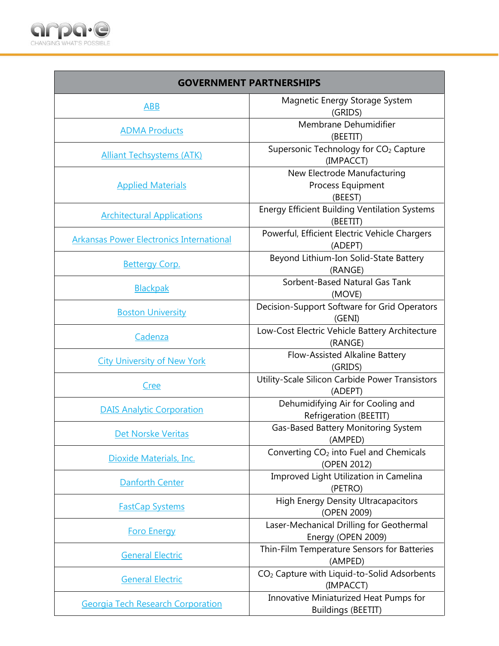

| <b>GOVERNMENT PARTNERSHIPS</b>                  |                                                                      |
|-------------------------------------------------|----------------------------------------------------------------------|
| <b>ABB</b>                                      | Magnetic Energy Storage System<br>(GRIDS)                            |
| <b>ADMA Products</b>                            | Membrane Dehumidifier<br>(BEETIT)                                    |
| <b>Alliant Techsystems (ATK)</b>                | Supersonic Technology for CO <sub>2</sub> Capture<br>(IMPACCT)       |
| <b>Applied Materials</b>                        | New Electrode Manufacturing<br>Process Equipment<br>(BEEST)          |
| <b>Architectural Applications</b>               | <b>Energy Efficient Building Ventilation Systems</b><br>(BEETIT)     |
| <b>Arkansas Power Electronics International</b> | Powerful, Efficient Electric Vehicle Chargers<br>(ADEPT)             |
| <b>Bettergy Corp.</b>                           | Beyond Lithium-Ion Solid-State Battery<br>(RANGE)                    |
| <b>Blackpak</b>                                 | Sorbent-Based Natural Gas Tank<br>(MOVE)                             |
| <b>Boston University</b>                        | Decision-Support Software for Grid Operators<br>(GENI)               |
| Cadenza                                         | Low-Cost Electric Vehicle Battery Architecture<br>(RANGE)            |
| <b>City University of New York</b>              | Flow-Assisted Alkaline Battery<br>(GRIDS)                            |
| <u>Cree</u>                                     | Utility-Scale Silicon Carbide Power Transistors<br>(ADEPT)           |
| <b>DAIS Analytic Corporation</b>                | Dehumidifying Air for Cooling and<br>Refrigeration (BEETIT)          |
| Det Norske Veritas                              | Gas-Based Battery Monitoring System<br>(AMPED)                       |
| Dioxide Materials, Inc.                         | Converting CO <sub>2</sub> into Fuel and Chemicals<br>(OPEN 2012)    |
| <b>Danforth Center</b>                          | Improved Light Utilization in Camelina<br>(PETRO)                    |
| <b>FastCap Systems</b>                          | <b>High Energy Density Ultracapacitors</b><br>(OPEN 2009)            |
| <b>Foro Energy</b>                              | Laser-Mechanical Drilling for Geothermal<br>Energy (OPEN 2009)       |
| <b>General Electric</b>                         | Thin-Film Temperature Sensors for Batteries<br>(AMPED)               |
| <b>General Electric</b>                         | CO <sub>2</sub> Capture with Liquid-to-Solid Adsorbents<br>(IMPACCT) |
| <b>Georgia Tech Research Corporation</b>        | Innovative Miniaturized Heat Pumps for<br><b>Buildings (BEETIT)</b>  |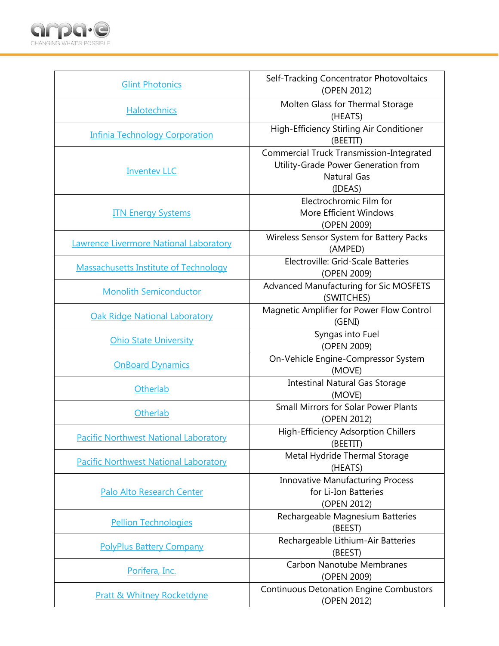

| <b>Glint Photonics</b>                       | Self-Tracking Concentrator Photovoltaics<br>(OPEN 2012)                                                                 |
|----------------------------------------------|-------------------------------------------------------------------------------------------------------------------------|
| Halotechnics                                 | Molten Glass for Thermal Storage<br>(HEATS)                                                                             |
| <b>Infinia Technology Corporation</b>        | High-Efficiency Stirling Air Conditioner<br>(BEETIT)                                                                    |
| <b>Inventev LLC</b>                          | <b>Commercial Truck Transmission-Integrated</b><br>Utility-Grade Power Generation from<br><b>Natural Gas</b><br>(IDEAS) |
| <b>ITN Energy Systems</b>                    | Electrochromic Film for<br>More Efficient Windows<br>(OPEN 2009)                                                        |
| Lawrence Livermore National Laboratory       | Wireless Sensor System for Battery Packs<br>(AMPED)                                                                     |
| <b>Massachusetts Institute of Technology</b> | Electroville: Grid-Scale Batteries<br>(OPEN 2009)                                                                       |
| <b>Monolith Semiconductor</b>                | Advanced Manufacturing for Sic MOSFETS<br>(SWITCHES)                                                                    |
| <b>Oak Ridge National Laboratory</b>         | Magnetic Amplifier for Power Flow Control<br>(GENI)                                                                     |
| <b>Ohio State University</b>                 | Syngas into Fuel<br>(OPEN 2009)                                                                                         |
| <b>OnBoard Dynamics</b>                      | On-Vehicle Engine-Compressor System<br>(MOVE)                                                                           |
| Otherlab                                     | <b>Intestinal Natural Gas Storage</b><br>(MOVE)                                                                         |
| Otherlab                                     | <b>Small Mirrors for Solar Power Plants</b><br>(OPEN 2012)                                                              |
| <b>Pacific Northwest National Laboratory</b> | High-Efficiency Adsorption Chillers<br>(BEETIT)                                                                         |
| <b>Pacific Northwest National Laboratory</b> | Metal Hydride Thermal Storage<br>(HEATS)                                                                                |
| Palo Alto Research Center                    | <b>Innovative Manufacturing Process</b><br>for Li-Ion Batteries<br>(OPEN 2012)                                          |
| <b>Pellion Technologies</b>                  | Rechargeable Magnesium Batteries<br>(BEEST)                                                                             |
| <b>PolyPlus Battery Company</b>              | Rechargeable Lithium-Air Batteries<br>(BEEST)                                                                           |
| Porifera, Inc.                               | <b>Carbon Nanotube Membranes</b><br>(OPEN 2009)                                                                         |
| <b>Pratt &amp; Whitney Rocketdyne</b>        | <b>Continuous Detonation Engine Combustors</b><br>(OPEN 2012)                                                           |